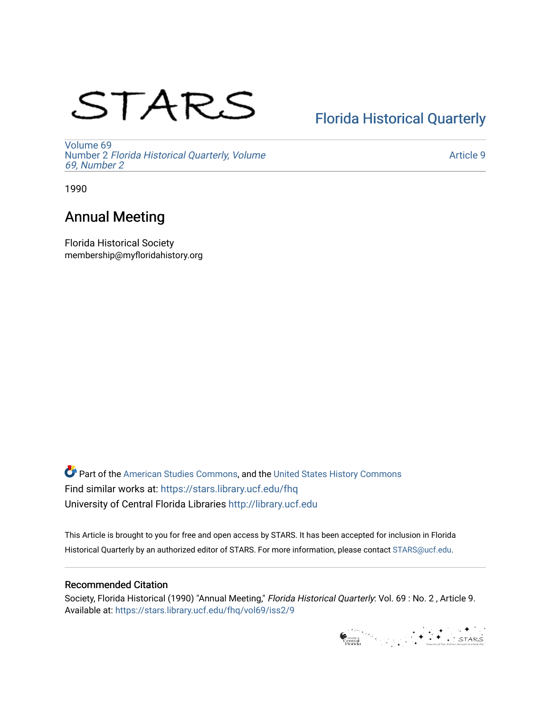# STARS

## [Florida Historical Quarterly](https://stars.library.ucf.edu/fhq)

[Volume 69](https://stars.library.ucf.edu/fhq/vol69) Number 2 [Florida Historical Quarterly, Volume](https://stars.library.ucf.edu/fhq/vol69/iss2)  [69, Number 2](https://stars.library.ucf.edu/fhq/vol69/iss2)

[Article 9](https://stars.library.ucf.edu/fhq/vol69/iss2/9) 

1990

### Annual Meeting

Florida Historical Society membership@myfloridahistory.org

**C** Part of the [American Studies Commons](http://network.bepress.com/hgg/discipline/439?utm_source=stars.library.ucf.edu%2Ffhq%2Fvol69%2Fiss2%2F9&utm_medium=PDF&utm_campaign=PDFCoverPages), and the United States History Commons Find similar works at: <https://stars.library.ucf.edu/fhq> University of Central Florida Libraries [http://library.ucf.edu](http://library.ucf.edu/) 

This Article is brought to you for free and open access by STARS. It has been accepted for inclusion in Florida Historical Quarterly by an authorized editor of STARS. For more information, please contact [STARS@ucf.edu.](mailto:STARS@ucf.edu)

#### Recommended Citation

Society, Florida Historical (1990) "Annual Meeting," Florida Historical Quarterly: Vol. 69 : No. 2 , Article 9. Available at: [https://stars.library.ucf.edu/fhq/vol69/iss2/9](https://stars.library.ucf.edu/fhq/vol69/iss2/9?utm_source=stars.library.ucf.edu%2Ffhq%2Fvol69%2Fiss2%2F9&utm_medium=PDF&utm_campaign=PDFCoverPages) 

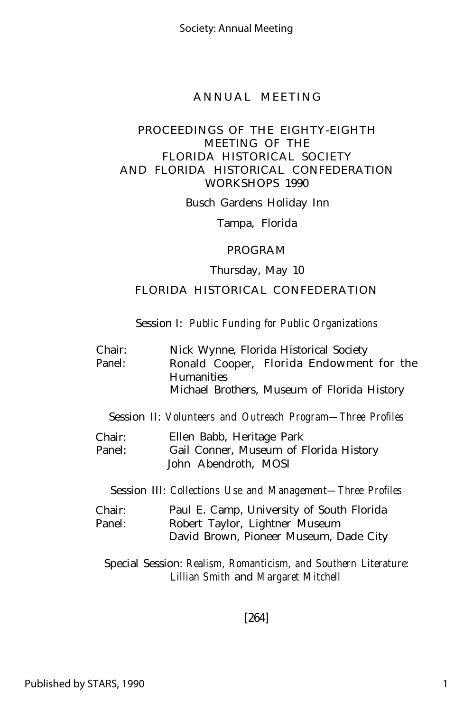#### PROCEEDINGS OF THE EIGHTY-EIGHTH MEETING OF THE FLORIDA HISTORICAL SOCIETY AND FLORIDA HISTORICAL CONFEDERATION WORKSHOPS 1990

Busch Gardens Holiday Inn

Tampa, Florida

#### PROGRAM

#### Thursday, May 10

#### FLORIDA HISTORICAL CONFEDERATION

#### Session I: *Public Funding for Public Organizations*

| Chair: | Nick Wynne, Florida Historical Society      |  |  |
|--------|---------------------------------------------|--|--|
| Panel: | Ronald Cooper, Florida Endowment for the    |  |  |
|        | <b>Humanities</b>                           |  |  |
|        | Michael Brothers, Museum of Florida History |  |  |
|        |                                             |  |  |

Session II: *Volunteers and Outreach Program— Three Profiles*

Chair: Panel: Ellen Babb, Heritage Park Gail Conner, Museum of Florida History John Abendroth, MOSI

Session III: *Collections Use and Management— Three Profiles*

| Chair: | Paul E. Camp, University of South Florida |  |
|--------|-------------------------------------------|--|
| Panel: | Robert Taylor, Lightner Museum            |  |
|        | David Brown, Pioneer Museum, Dade City    |  |

Special Session: *Realism, Romanticism, and Southern Literature: Lillian Smith* and *Margaret Mitchell*

[264]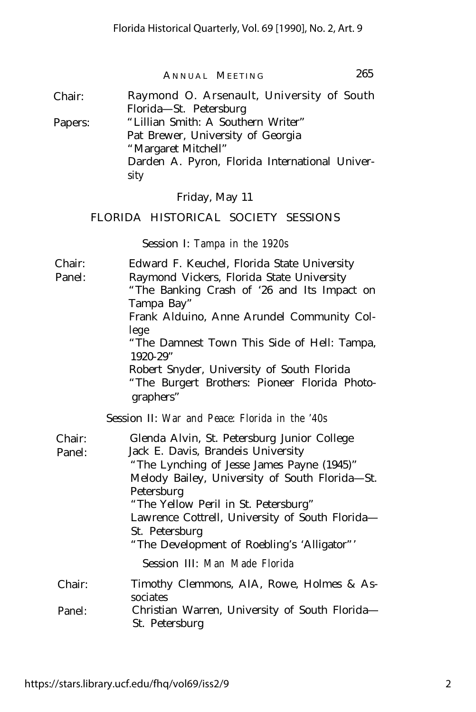Chair: Raymond O. Arsenault, University of South Florida— St. Petersburg Papers: "Lillian Smith: A Southern Writer" Pat Brewer, University of Georgia "Margaret Mitchell" Darden A. Pyron, Florida International University

Friday, May 11

#### FLORIDA HISTORICAL SOCIETY SESSIONS

Session I: *Tampa in the 1920s*

| Chair:           | Edward F. Keuchel, Florida State University                                                                                                                                                                                                                                                                                                                  |  |
|------------------|--------------------------------------------------------------------------------------------------------------------------------------------------------------------------------------------------------------------------------------------------------------------------------------------------------------------------------------------------------------|--|
| Panel:           | Raymond Vickers, Florida State University                                                                                                                                                                                                                                                                                                                    |  |
|                  | "The Banking Crash of '26 and Its Impact on                                                                                                                                                                                                                                                                                                                  |  |
|                  | Tampa Bay"                                                                                                                                                                                                                                                                                                                                                   |  |
|                  | Frank Alduino, Anne Arundel Community Col-                                                                                                                                                                                                                                                                                                                   |  |
|                  | lege<br>"The Damnest Town This Side of Hell: Tampa,<br>$1920 - 29"$                                                                                                                                                                                                                                                                                          |  |
|                  | Robert Snyder, University of South Florida<br>"The Burgert Brothers: Pioneer Florida Photo-<br>graphers"                                                                                                                                                                                                                                                     |  |
|                  | Session II: War and Peace: Florida in the '40s                                                                                                                                                                                                                                                                                                               |  |
| Chair:<br>Panel: | Glenda Alvin, St. Petersburg Junior College<br>Jack E. Davis, Brandeis University<br>"The Lynching of Jesse James Payne (1945)"<br>Melody Bailey, University of South Florida- St.<br>Petersburg<br>"The Yellow Peril in St. Petersburg"<br>Lawrence Cottrell, University of South Florida-<br>St. Petersburg<br>"The Development of Roebling's 'Alligator"' |  |
|                  | Session III: Man Made Florida                                                                                                                                                                                                                                                                                                                                |  |
| Chair:           | Timothy Clemmons, AIA, Rowe, Holmes & As-                                                                                                                                                                                                                                                                                                                    |  |
| Panel:           | sociates<br>Christian Warren, University of South Florida-<br>St. Petersburg                                                                                                                                                                                                                                                                                 |  |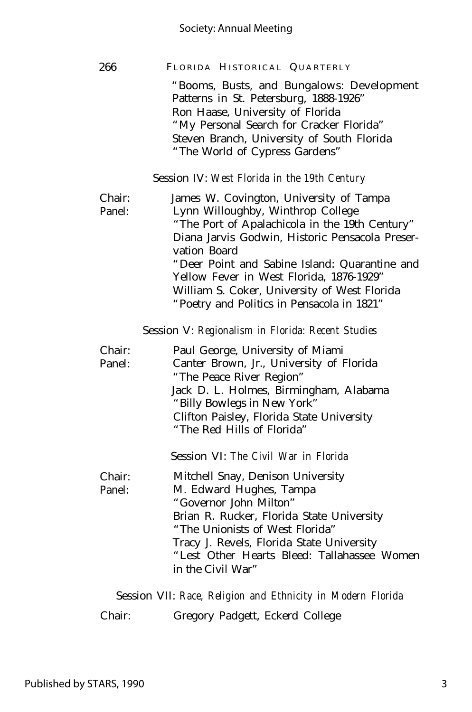#### Society: Annual Meeting

| 266    | FLORIDA HISTORICAL QUARTERLY                    |  |  |
|--------|-------------------------------------------------|--|--|
|        | "Booms, Busts, and Bungalows: Development       |  |  |
|        | Patterns in St. Petersburg, 1888-1926"          |  |  |
|        | Ron Haase, University of Florida                |  |  |
|        | "My Personal Search for Cracker Florida"        |  |  |
|        | Steven Branch, University of South Florida      |  |  |
|        | "The World of Cypress Gardens"                  |  |  |
|        | Session IV: West Florida in the 19th Century    |  |  |
| Chair: | James W. Covington, University of Tampa         |  |  |
| Panel: | Lynn Willoughby, Winthrop College               |  |  |
|        | "The Port of Apalachicola in the 19th Century"  |  |  |
|        | Diana Jarvis Godwin, Historic Pensacola Preser- |  |  |
|        |                                                 |  |  |

vation Board "Deer Point and Sabine Island: Quarantine and Yellow Fever in West Florida, 1876-1929" William S. Coker, University of West Florida "Poetry and Politics in Pensacola in 1821"

Session V: *Regionalism in Florida: Recent Studies*

| Chair: | Paul George, University of Miami          |  |  |
|--------|-------------------------------------------|--|--|
| Panel: | Canter Brown, Jr., University of Florida  |  |  |
|        | "The Peace River Region"                  |  |  |
|        | Jack D. L. Holmes, Birmingham, Alabama    |  |  |
|        | "Billy Bowlegs in New York"               |  |  |
|        | Clifton Paisley, Florida State University |  |  |
|        | "The Red Hills of Florida"                |  |  |
|        | Session VI: The Civil War in Florida      |  |  |
| Chair: | Mitchell Snay, Denison University         |  |  |
| Panel: | M. Edward Hughes, Tampa                   |  |  |
|        | "Governor John Milton"                    |  |  |
|        | Brian R. Rucker, Florida State University |  |  |
|        | "The Unionists of West Florida"           |  |  |

Tracy J. Revels, Florida State University "Lest Other Hearts Bleed: Tallahassee Women

in the Civil War"

Session VII: *Race, Religion and Ethnicity in Modern Florida*

Chair: Gregory Padgett, Eckerd College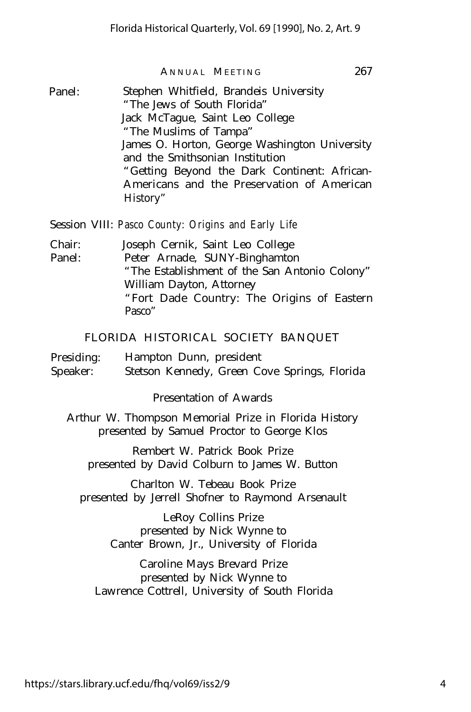Panel: Stephen Whitfield, Brandeis University "The Jews of South Florida" Jack McTague, Saint Leo College "The Muslims of Tampa" James O. Horton, George Washington University and the Smithsonian Institution "Getting Beyond the Dark Continent: African-Americans and the Preservation of American History"

Session VIII: *Pasco County: Origins and Early Life*

Chair: Joseph Cernik, Saint Leo College Panel: Peter Arnade, SUNY-Binghamton "The Establishment of the San Antonio Colony" William Dayton, Attorney "Fort Dade Country: The Origins of Eastern Pasco"

#### FLORIDA HISTORICAL SOCIETY BANQUET

Presiding: Hampton Dunn, president Speaker: Stetson Kennedy, Green Cove Springs, Florida

Presentation of Awards

Arthur W. Thompson Memorial Prize in Florida History presented by Samuel Proctor to George Klos

Rembert W. Patrick Book Prize presented by David Colburn to James W. Button

Charlton W. Tebeau Book Prize presented by Jerrell Shofner to Raymond Arsenault

> LeRoy Collins Prize presented by Nick Wynne to Canter Brown, Jr., University of Florida

Caroline Mays Brevard Prize presented by Nick Wynne to Lawrence Cottrell, University of South Florida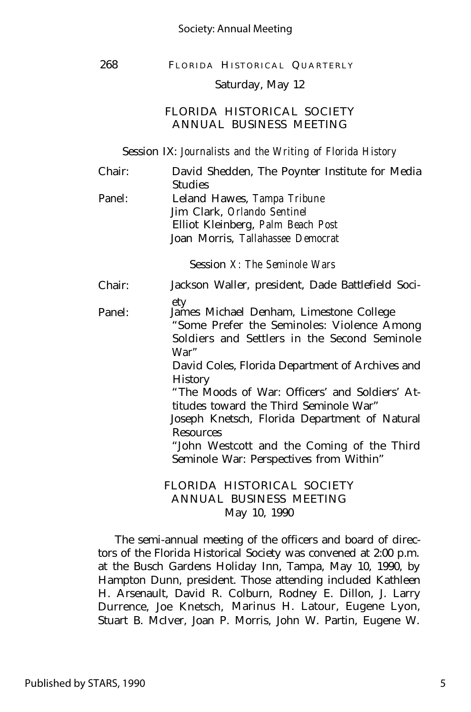#### Society: Annual Meeting

#### 268 FLORIDA HISTORICAL QUARTERLY

#### Saturday, May 12

#### FLORIDA HISTORICAL SOCIETY ANNUAL BUSINESS MEETING

Session IX: *Journalists and the Writing of Florida History*

| Chair: | David Shedden, The Poynter Institute for Media<br><b>Studies</b>                                                                                     |  |
|--------|------------------------------------------------------------------------------------------------------------------------------------------------------|--|
| Panel: | Leland Hawes, Tampa Tribune                                                                                                                          |  |
|        | Jim Clark, Orlando Sentinel                                                                                                                          |  |
|        | Elliot Kleinberg, Palm Beach Post                                                                                                                    |  |
|        | Joan Morris, Tallahassee Democrat                                                                                                                    |  |
|        | Session X: The Seminole Wars                                                                                                                         |  |
| Chair: | Jackson Waller, president, Dade Battlefield Soci-                                                                                                    |  |
| Panel: | ety<br>James Michael Denham, Limestone College<br>"Some Prefer the Seminoles: Violence Among<br>Soldiers and Settlers in the Second Seminole<br>War" |  |
|        | David Coles, Florida Department of Archives and<br><b>History</b>                                                                                    |  |
|        | "The Moods of War: Officers' and Soldiers' At-<br>titudes toward the Third Seminole War"                                                             |  |
|        | Joseph Knetsch, Florida Department of Natural<br><b>Resources</b>                                                                                    |  |
|        | "John Westcott and the Coming of the Third                                                                                                           |  |
|        | Seminole War: Perspectives from Within"                                                                                                              |  |
|        | FLORIDA HISTORICAL SOCIETY                                                                                                                           |  |
|        | ANNUAL BUSINESS MEETING                                                                                                                              |  |

May 10, 1990

The semi-annual meeting of the officers and board of directors of the Florida Historical Society was convened at 2:00 p.m. at the Busch Gardens Holiday Inn, Tampa, May 10, 1990, by Hampton Dunn, president. Those attending included Kathleen H. Arsenault, David R. Colburn, Rodney E. Dillon, J. Larry Durrence, Joe Knetsch, Marinus H. Latour, Eugene Lyon, Stuart B. McIver, Joan P. Morris, John W. Partin, Eugene W.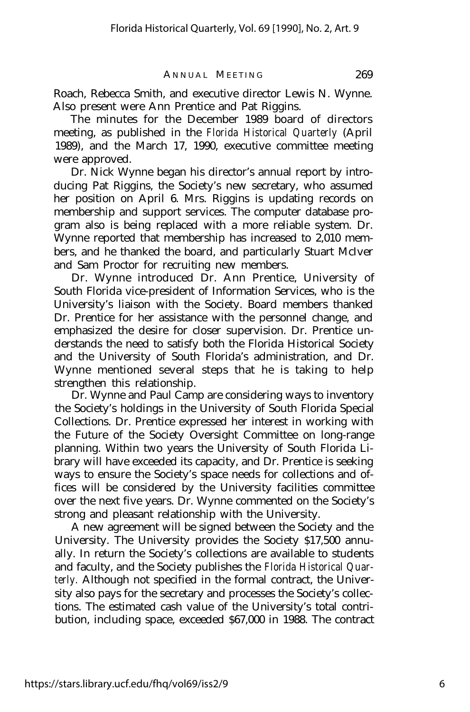Roach, Rebecca Smith, and executive director Lewis N. Wynne. Also present were Ann Prentice and Pat Riggins.

The minutes for the December 1989 board of directors meeting, as published in the *Florida Historical Quarterly* (April 1989), and the March 17, 1990, executive committee meeting were approved.

Dr. Nick Wynne began his director's annual report by introducing Pat Riggins, the Society's new secretary, who assumed her position on April 6. Mrs. Riggins is updating records on membership and support services. The computer database program also is being replaced with a more reliable system. Dr. Wynne reported that membership has increased to 2,010 members, and he thanked the board, and particularly Stuart McIver and Sam Proctor for recruiting new members.

Dr. Wynne introduced Dr. Ann Prentice, University of South Florida vice-president of Information Services, who is the University's liaison with the Society. Board members thanked Dr. Prentice for her assistance with the personnel change, and emphasized the desire for closer supervision. Dr. Prentice understands the need to satisfy both the Florida Historical Society and the University of South Florida's administration, and Dr. Wynne mentioned several steps that he is taking to help strengthen this relationship.

Dr. Wynne and Paul Camp are considering ways to inventory the Society's holdings in the University of South Florida Special Collections. Dr. Prentice expressed her interest in working with the Future of the Society Oversight Committee on long-range planning. Within two years the University of South Florida Library will have exceeded its capacity, and Dr. Prentice is seeking ways to ensure the Society's space needs for collections and offices will be considered by the University facilities committee over the next five years. Dr. Wynne commented on the Society's strong and pleasant relationship with the University.

A new agreement will be signed between the Society and the University. The University provides the Society \$17,500 annually. In return the Society's collections are available to students and faculty, and the Society publishes the *Florida Historical Quarterly.* Although not specified in the formal contract, the University also pays for the secretary and processes the Society's collections. The estimated cash value of the University's total contribution, including space, exceeded \$67,000 in 1988. The contract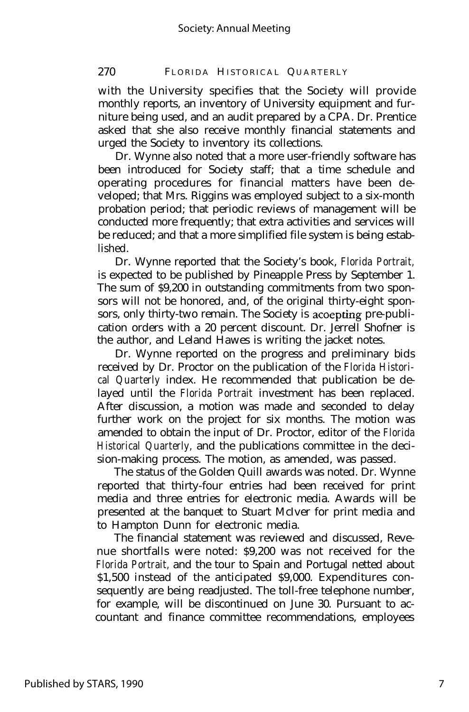#### 270 FLORIDA HISTORICAL QUARTERLY

with the University specifies that the Society will provide monthly reports, an inventory of University equipment and furniture being used, and an audit prepared by a CPA. Dr. Prentice asked that she also receive monthly financial statements and urged the Society to inventory its collections.

Dr. Wynne also noted that a more user-friendly software has been introduced for Society staff; that a time schedule and operating procedures for financial matters have been developed; that Mrs. Riggins was employed subject to a six-month probation period; that periodic reviews of management will be conducted more frequently; that extra activities and services will be reduced; and that a more simplified file system is being established.

Dr. Wynne reported that the Society's book, *Florida Portrait,* is expected to be published by Pineapple Press by September 1. The sum of \$9,200 in outstanding commitments from two sponsors will not be honored, and, of the original thirty-eight sponsors, only thirty-two remain. The Society is acoepting pre-publication orders with a 20 percent discount. Dr. Jerrell Shofner is the author, and Leland Hawes is writing the jacket notes.

Dr. Wynne reported on the progress and preliminary bids received by Dr. Proctor on the publication of the *Florida Historical Quarterly* index. He recommended that publication be delayed until the *Florida Portrait* investment has been replaced. After discussion, a motion was made and seconded to delay further work on the project for six months. The motion was amended to obtain the input of Dr. Proctor, editor of the *Florida Historical Quarterly,* and the publications committee in the decision-making process. The motion, as amended, was passed.

The status of the Golden Quill awards was noted. Dr. Wynne reported that thirty-four entries had been received for print media and three entries for electronic media. Awards will be presented at the banquet to Stuart McIver for print media and to Hampton Dunn for electronic media.

The financial statement was reviewed and discussed, Revenue shortfalls were noted: \$9,200 was not received for the *Florida Portrait,* and the tour to Spain and Portugal netted about \$1,500 instead of the anticipated \$9,000. Expenditures consequently are being readjusted. The toll-free telephone number, for example, will be discontinued on June 30. Pursuant to accountant and finance committee recommendations, employees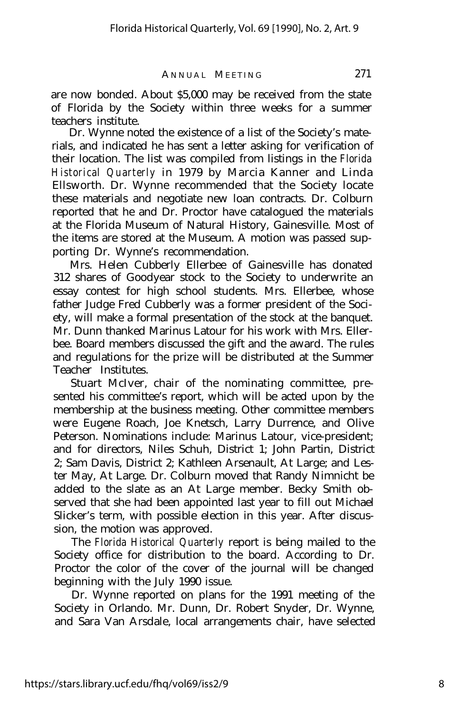are now bonded. About \$5,000 may be received from the state of Florida by the Society within three weeks for a summer teachers institute.

Dr. Wynne noted the existence of a list of the Society's materials, and indicated he has sent a letter asking for verification of their location. The list was compiled from listings in the *Florida Historical Quarterly* in 1979 by Marcia Kanner and Linda Ellsworth. Dr. Wynne recommended that the Society locate these materials and negotiate new loan contracts. Dr. Colburn reported that he and Dr. Proctor have catalogued the materials at the Florida Museum of Natural History, Gainesville. Most of the items are stored at the Museum. A motion was passed supporting Dr. Wynne's recommendation.

Mrs. Helen Cubberly Ellerbee of Gainesville has donated 312 shares of Goodyear stock to the Society to underwrite an essay contest for high school students. Mrs. Ellerbee, whose father Judge Fred Cubberly was a former president of the Society, will make a formal presentation of the stock at the banquet. Mr. Dunn thanked Marinus Latour for his work with Mrs. Ellerbee. Board members discussed the gift and the award. The rules and regulations for the prize will be distributed at the Summer Teacher Institutes.

Stuart McIver, chair of the nominating committee, presented his committee's report, which will be acted upon by the membership at the business meeting. Other committee members were Eugene Roach, Joe Knetsch, Larry Durrence, and Olive Peterson. Nominations include: Marinus Latour, vice-president; and for directors, Niles Schuh, District 1; John Partin, District 2; Sam Davis, District 2; Kathleen Arsenault, At Large; and Lester May, At Large. Dr. Colburn moved that Randy Nimnicht be added to the slate as an At Large member. Becky Smith observed that she had been appointed last year to fill out Michael Slicker's term, with possible election in this year. After discussion, the motion was approved.

The *Florida Historical Quarterly* report is being mailed to the Society office for distribution to the board. According to Dr. Proctor the color of the cover of the journal will be changed beginning with the July 1990 issue.

Dr. Wynne reported on plans for the 1991 meeting of the Society in Orlando. Mr. Dunn, Dr. Robert Snyder, Dr. Wynne, and Sara Van Arsdale, local arrangements chair, have selected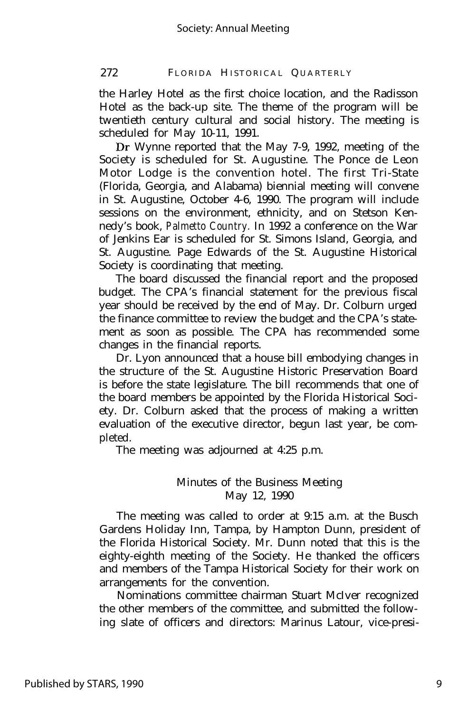#### 272 FLORIDA HISTORICAL QUARTERLY

the Harley Hotel as the first choice location, and the Radisson Hotel as the back-up site. The theme of the program will be twentieth century cultural and social history. The meeting is scheduled for May 10-11, 1991.

Dr Wynne reported that the May 7-9, 1992, meeting of the Society is scheduled for St. Augustine. The Ponce de Leon Motor Lodge is the convention hotel. The first Tri-State (Florida, Georgia, and Alabama) biennial meeting will convene in St. Augustine, October 4-6, 1990. The program will include sessions on the environment, ethnicity, and on Stetson Kennedy's book, *Palmetto Country.* In 1992 a conference on the War of Jenkins Ear is scheduled for St. Simons Island, Georgia, and St. Augustine. Page Edwards of the St. Augustine Historical Society is coordinating that meeting.

The board discussed the financial report and the proposed budget. The CPA's financial statement for the previous fiscal year should be received by the end of May. Dr. Colburn urged the finance committee to review the budget and the CPA's statement as soon as possible. The CPA has recommended some changes in the financial reports.

Dr. Lyon announced that a house bill embodying changes in the structure of the St. Augustine Historic Preservation Board is before the state legislature. The bill recommends that one of the board members be appointed by the Florida Historical Society. Dr. Colburn asked that the process of making a written evaluation of the executive director, begun last year, be completed.

The meeting was adjourned at 4:25 p.m.

#### Minutes of the Business Meeting May 12, 1990

The meeting was called to order at 9:15 a.m. at the Busch Gardens Holiday Inn, Tampa, by Hampton Dunn, president of the Florida Historical Society. Mr. Dunn noted that this is the eighty-eighth meeting of the Society. He thanked the officers and members of the Tampa Historical Society for their work on arrangements for the convention.

Nominations committee chairman Stuart McIver recognized the other members of the committee, and submitted the following slate of officers and directors: Marinus Latour, vice-presi-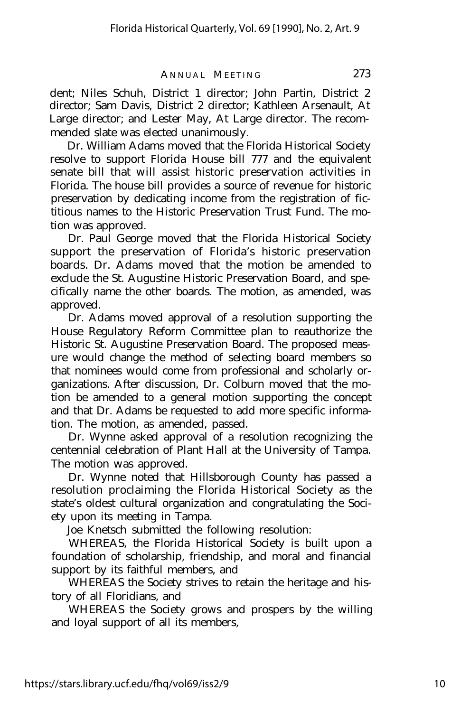dent; Niles Schuh, District 1 director; John Partin, District 2 director; Sam Davis, District 2 director; Kathleen Arsenault, At Large director; and Lester May, At Large director. The recommended slate was elected unanimously.

Dr. William Adams moved that the Florida Historical Society resolve to support Florida House bill 777 and the equivalent senate bill that will assist historic preservation activities in Florida. The house bill provides a source of revenue for historic preservation by dedicating income from the registration of fictitious names to the Historic Preservation Trust Fund. The motion was approved.

Dr. Paul George moved that the Florida Historical Society support the preservation of Florida's historic preservation boards. Dr. Adams moved that the motion be amended to exclude the St. Augustine Historic Preservation Board, and specifically name the other boards. The motion, as amended, was approved.

Dr. Adams moved approval of a resolution supporting the House Regulatory Reform Committee plan to reauthorize the Historic St. Augustine Preservation Board. The proposed measure would change the method of selecting board members so that nominees would come from professional and scholarly organizations. After discussion, Dr. Colburn moved that the motion be amended to a general motion supporting the concept and that Dr. Adams be requested to add more specific information. The motion, as amended, passed.

Dr. Wynne asked approval of a resolution recognizing the centennial celebration of Plant Hall at the University of Tampa. The motion was approved.

Dr. Wynne noted that Hillsborough County has passed a resolution proclaiming the Florida Historical Society as the state's oldest cultural organization and congratulating the Society upon its meeting in Tampa.

Joe Knetsch submitted the following resolution:

WHEREAS, the Florida Historical Society is built upon a foundation of scholarship, friendship, and moral and financial support by its faithful members, and

WHEREAS the Society strives to retain the heritage and history of all Floridians, and

WHEREAS the Society grows and prospers by the willing and loyal support of all its members,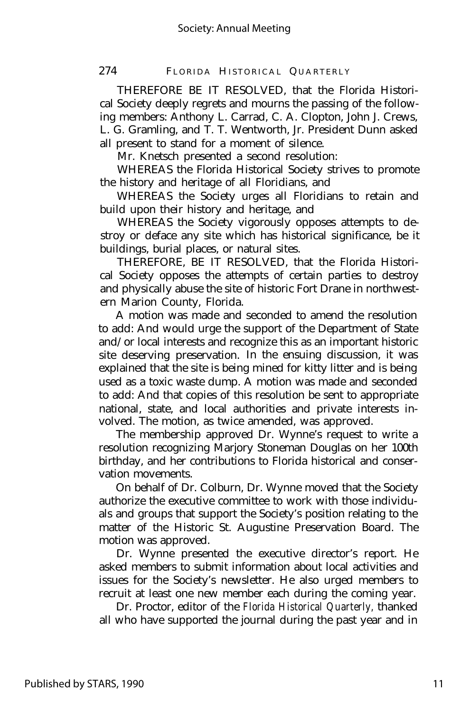274 FLORIDA HISTORICAL QUARTERLY

THEREFORE BE IT RESOLVED, that the Florida Historical Society deeply regrets and mourns the passing of the following members: Anthony L. Carrad, C. A. Clopton, John J. Crews, L. G. Gramling, and T. T. Wentworth, Jr. President Dunn asked all present to stand for a moment of silence.

Mr. Knetsch presented a second resolution:

WHEREAS the Florida Historical Society strives to promote the history and heritage of all Floridians, and

WHEREAS the Society urges all Floridians to retain and build upon their history and heritage, and

WHEREAS the Society vigorously opposes attempts to destroy or deface any site which has historical significance, be it buildings, burial places, or natural sites.

THEREFORE, BE IT RESOLVED, that the Florida Historical Society opposes the attempts of certain parties to destroy and physically abuse the site of historic Fort Drane in northwestern Marion County, Florida.

A motion was made and seconded to amend the resolution to add: And would urge the support of the Department of State and/or local interests and recognize this as an important historic site deserving preservation. In the ensuing discussion, it was explained that the site is being mined for kitty litter and is being used as a toxic waste dump. A motion was made and seconded to add: And that copies of this resolution be sent to appropriate national, state, and local authorities and private interests involved. The motion, as twice amended, was approved.

The membership approved Dr. Wynne's request to write a resolution recognizing Marjory Stoneman Douglas on her 100th birthday, and her contributions to Florida historical and conservation movements.

On behalf of Dr. Colburn, Dr. Wynne moved that the Society authorize the executive committee to work with those individuals and groups that support the Society's position relating to the matter of the Historic St. Augustine Preservation Board. The motion was approved.

Dr. Wynne presented the executive director's report. He asked members to submit information about local activities and issues for the Society's newsletter. He also urged members to recruit at least one new member each during the coming year.

Dr. Proctor, editor of the *Florida Historical Quarterly,* thanked all who have supported the journal during the past year and in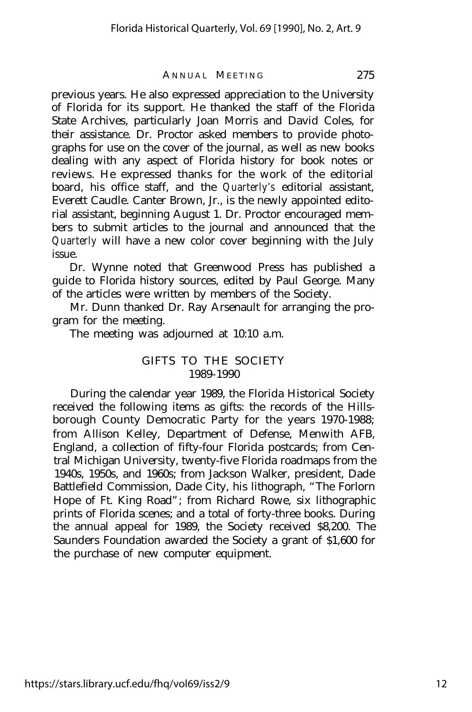previous years. He also expressed appreciation to the University of Florida for its support. He thanked the staff of the Florida State Archives, particularly Joan Morris and David Coles, for their assistance. Dr. Proctor asked members to provide photographs for use on the cover of the journal, as well as new books dealing with any aspect of Florida history for book notes or reviews. He expressed thanks for the work of the editorial board, his office staff, and the *Quarterly's* editorial assistant, Everett Caudle. Canter Brown, Jr., is the newly appointed editorial assistant, beginning August 1. Dr. Proctor encouraged members to submit articles to the journal and announced that the *Quarterly* will have a new color cover beginning with the July issue.

Dr. Wynne noted that Greenwood Press has published a guide to Florida history sources, edited by Paul George. Many of the articles were written by members of the Society.

Mr. Dunn thanked Dr. Ray Arsenault for arranging the program for the meeting.

The meeting was adjourned at 10:10 a.m.

#### GIFTS TO THE SOCIETY 1989-1990

During the calendar year 1989, the Florida Historical Society received the following items as gifts: the records of the Hillsborough County Democratic Party for the years 1970-1988; from Allison Kelley, Department of Defense, Menwith AFB, England, a collection of fifty-four Florida postcards; from Central Michigan University, twenty-five Florida roadmaps from the 1940s, 1950s, and 1960s; from Jackson Walker, president, Dade Battlefield Commission, Dade City, his lithograph, "The Forlorn Hope of Ft. King Road"; from Richard Rowe, six lithographic prints of Florida scenes; and a total of forty-three books. During the annual appeal for 1989, the Society received \$8,200. The Saunders Foundation awarded the Society a grant of \$1,600 for the purchase of new computer equipment.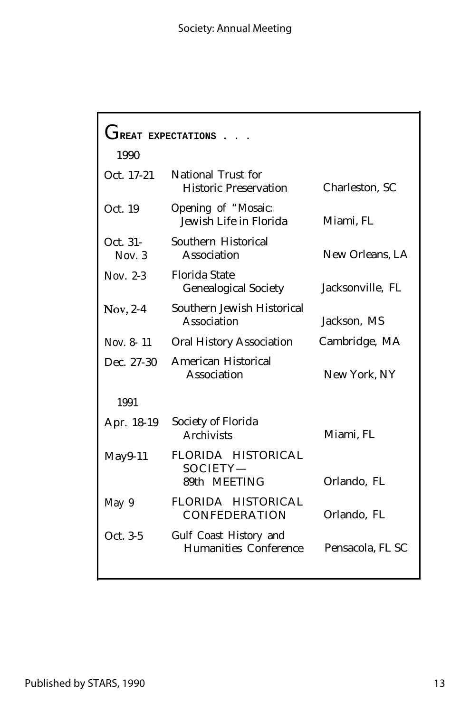#### Society: Annual Meeting

| <b>TREAT EXPECTATIONS</b> |                                                     |                  |  |  |
|---------------------------|-----------------------------------------------------|------------------|--|--|
| 1990                      |                                                     |                  |  |  |
| Oct. 17-21                | National Trust for<br><b>Historic Preservation</b>  | Charleston, SC   |  |  |
| Oct. 19                   | Opening of "Mosaic:<br>Jewish Life in Florida       | Miami, FL        |  |  |
| Oct. 31-<br>Nov. $3$      | Southern Historical<br>Association                  | New Orleans, LA  |  |  |
| Nov. $2-3$                | <b>Florida State</b><br><b>Genealogical Society</b> | Jacksonville, FL |  |  |
| $Nov, 2-4$                | Southern Jewish Historical<br>Association           | Jackson, MS      |  |  |
| Nov. 8-11                 | <b>Oral History Association</b>                     | Cambridge, MA    |  |  |
| Dec. 27-30                | American Historical<br>Association                  | New York, NY     |  |  |
| 1991                      |                                                     |                  |  |  |
| Apr. 18-19                | Society of Florida<br><b>Archivists</b>             | Miami, FL        |  |  |
| $May9-11$                 | FLORIDA HISTORICAL<br>SOCIETY-<br>89th MEETING      | Orlando, FL      |  |  |
| May 9                     | FLORIDA HISTORICAL<br><b>CONFEDERATION</b>          | Orlando, FL      |  |  |
| Oct. 3-5                  | Gulf Coast History and<br>Humanities Conference     | Pensacola, FL SC |  |  |